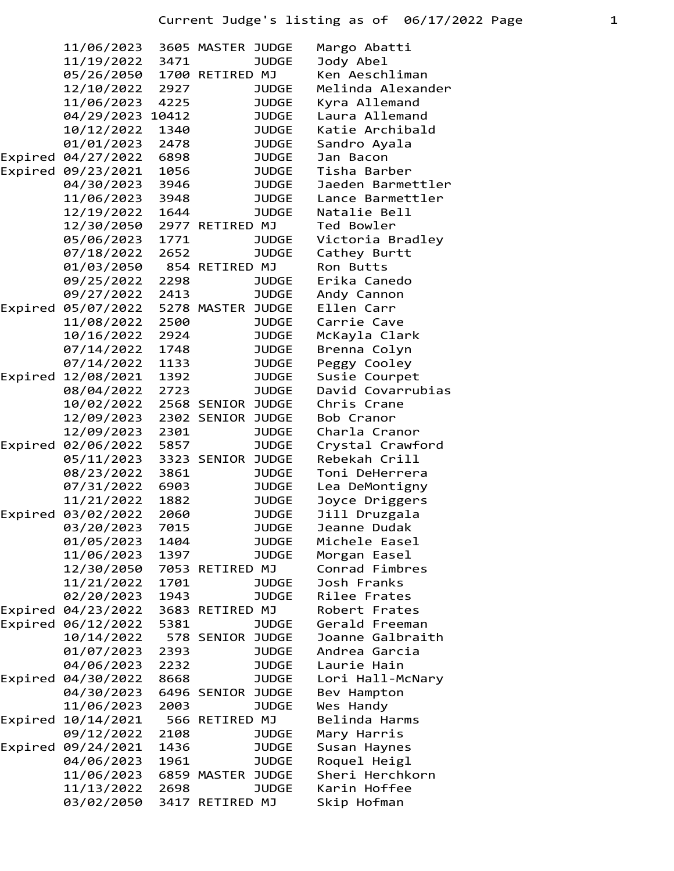|         | 11/06/2023         |      | 3605 MASTER JUDGE | Margo Abatti      |
|---------|--------------------|------|-------------------|-------------------|
|         | 11/19/2022         | 3471 | <b>JUDGE</b>      | Jody Abel         |
|         | 05/26/2050         |      | 1700 RETIRED MJ   | Ken Aeschliman    |
|         | 12/10/2022         | 2927 | <b>JUDGE</b>      | Melinda Alexander |
|         | 11/06/2023         | 4225 | <b>JUDGE</b>      | Kyra Allemand     |
|         | 04/29/2023 10412   |      | <b>JUDGE</b>      | Laura Allemand    |
|         | 10/12/2022         | 1340 | <b>JUDGE</b>      | Katie Archibald   |
|         | 01/01/2023         | 2478 | <b>JUDGE</b>      | Sandro Ayala      |
|         | Expired 04/27/2022 | 6898 | <b>JUDGE</b>      | Jan Bacon         |
|         | Expired 09/23/2021 | 1056 | <b>JUDGE</b>      | Tisha Barber      |
|         | 04/30/2023         | 3946 | <b>JUDGE</b>      | Jaeden Barmettler |
|         | 11/06/2023         | 3948 | <b>JUDGE</b>      | Lance Barmettler  |
|         | 12/19/2022         | 1644 | <b>JUDGE</b>      | Natalie Bell      |
|         | 12/30/2050         |      | 2977 RETIRED MJ   | Ted Bowler        |
|         | 05/06/2023         | 1771 | <b>JUDGE</b>      | Victoria Bradley  |
|         | 07/18/2022         | 2652 | <b>JUDGE</b>      | Cathey Burtt      |
|         | 01/03/2050         |      | 854 RETIRED MJ    | Ron Butts         |
|         | 09/25/2022         | 2298 | <b>JUDGE</b>      | Erika Canedo      |
|         | 09/27/2022         | 2413 | <b>JUDGE</b>      | Andy Cannon       |
|         | Expired 05/07/2022 |      | 5278 MASTER JUDGE | Ellen Carr        |
|         | 11/08/2022         | 2500 | <b>JUDGE</b>      | Carrie Cave       |
|         | 10/16/2022         | 2924 | <b>JUDGE</b>      |                   |
|         |                    |      |                   | McKayla Clark     |
|         | 07/14/2022         | 1748 | <b>JUDGE</b>      | Brenna Colyn      |
|         | 07/14/2022         | 1133 | <b>JUDGE</b>      | Peggy Cooley      |
|         | Expired 12/08/2021 | 1392 | <b>JUDGE</b>      | Susie Courpet     |
|         | 08/04/2022         | 2723 | <b>JUDGE</b>      | David Covarrubias |
|         | 10/02/2022         |      | 2568 SENIOR JUDGE | Chris Crane       |
|         | 12/09/2023         |      | 2302 SENIOR JUDGE | Bob Cranor        |
|         | 12/09/2023         | 2301 | <b>JUDGE</b>      | Charla Cranor     |
|         | Expired 02/06/2022 | 5857 | <b>JUDGE</b>      | Crystal Crawford  |
|         | 05/11/2023         |      | 3323 SENIOR JUDGE | Rebekah Crill     |
|         | 08/23/2022         | 3861 | <b>JUDGE</b>      | Toni DeHerrera    |
|         | 07/31/2022         | 6903 | <b>JUDGE</b>      | Lea DeMontigny    |
|         | 11/21/2022         | 1882 | <b>JUDGE</b>      | Joyce Driggers    |
| Expired | 03/02/2022         | 2060 | <b>JUDGE</b>      | Jill Druzgala     |
|         | 03/20/2023         | 7015 | <b>JUDGE</b>      | Jeanne Dudak      |
|         | 01/05/2023         | 1404 | <b>JUDGE</b>      | Michele Easel     |
|         | 11/06/2023         | 1397 | <b>JUDGE</b>      | Morgan Easel      |
|         | 12/30/2050         |      | 7053 RETIRED MJ   | Conrad Fimbres    |
|         | 11/21/2022         | 1701 | <b>JUDGE</b>      | Josh Franks       |
|         | 02/20/2023         | 1943 | <b>JUDGE</b>      | Rilee Frates      |
|         | Expired 04/23/2022 |      | 3683 RETIRED MJ   | Robert Frates     |
|         | Expired 06/12/2022 | 5381 | <b>JUDGE</b>      | Gerald Freeman    |
|         | 10/14/2022         |      | 578 SENIOR JUDGE  | Joanne Galbraith  |
|         | 01/07/2023         | 2393 | <b>JUDGE</b>      | Andrea Garcia     |
|         | 04/06/2023         | 2232 | <b>JUDGE</b>      | Laurie Hain       |
|         | Expired 04/30/2022 | 8668 | <b>JUDGE</b>      | Lori Hall-McNary  |
|         | 04/30/2023         |      | 6496 SENIOR JUDGE | Bev Hampton       |
|         | 11/06/2023         | 2003 | <b>JUDGE</b>      | Wes Handy         |
| Expired | 10/14/2021         |      | 566 RETIRED MJ    | Belinda Harms     |
|         | 09/12/2022         | 2108 | <b>JUDGE</b>      | Mary Harris       |
|         | Expired 09/24/2021 | 1436 | <b>JUDGE</b>      | Susan Haynes      |
|         | 04/06/2023         | 1961 | <b>JUDGE</b>      | Roquel Heigl      |
|         | 11/06/2023         |      | 6859 MASTER JUDGE | Sheri Herchkorn   |
|         |                    |      | <b>JUDGE</b>      | Karin Hoffee      |
|         | 11/13/2022         | 2698 |                   |                   |
|         | 03/02/2050         |      | 3417 RETIRED MJ   | Skip Hofman       |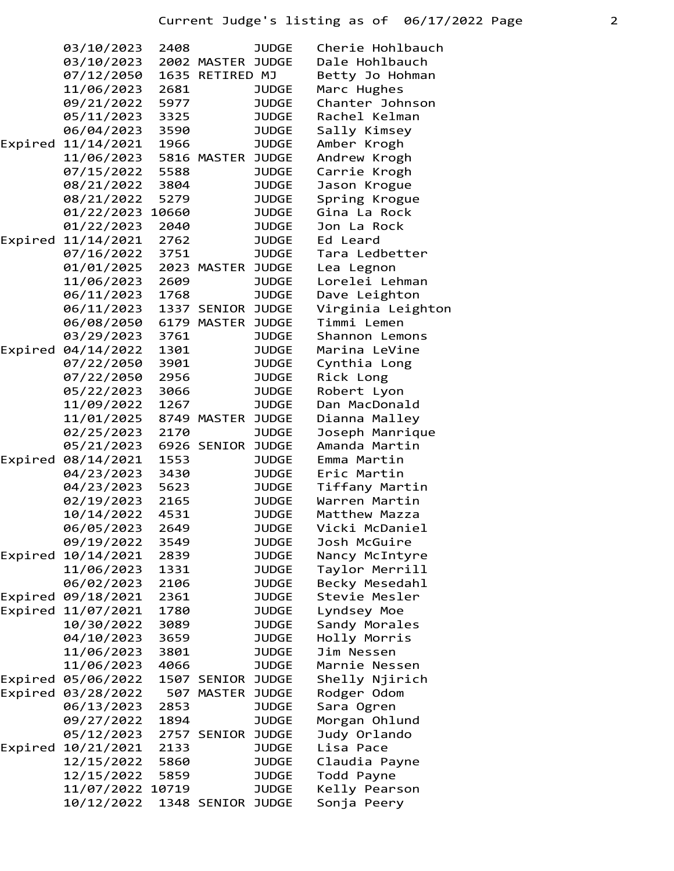|  | 03/10/2023<br>03/10/2023 | 2408 | 2002 MASTER JUDGE | <b>JUDGE</b> | Cherie Hohlbauch<br>Dale Hohlbauch |
|--|--------------------------|------|-------------------|--------------|------------------------------------|
|  | 07/12/2050<br>11/06/2023 | 2681 | 1635 RETIRED MJ   | <b>JUDGE</b> | Betty Jo Hohman<br>Marc Hughes     |
|  | 09/21/2022               | 5977 |                   | <b>JUDGE</b> | Chanter Johnson                    |
|  | 05/11/2023               | 3325 |                   | <b>JUDGE</b> | Rachel Kelman                      |
|  | 06/04/2023               | 3590 |                   | <b>JUDGE</b> | Sally Kimsey                       |
|  | Expired 11/14/2021       | 1966 |                   | <b>JUDGE</b> | Amber Krogh                        |
|  | 11/06/2023               |      | 5816 MASTER       | <b>JUDGE</b> | Andrew Krogh                       |
|  | 07/15/2022               | 5588 |                   | <b>JUDGE</b> | Carrie Krogh                       |
|  | 08/21/2022               | 3804 |                   | <b>JUDGE</b> | Jason Krogue                       |
|  | 08/21/2022               | 5279 |                   | <b>JUDGE</b> | Spring Krogue                      |
|  | 01/22/2023 10660         |      |                   | <b>JUDGE</b> | Gina La Rock                       |
|  | 01/22/2023               | 2040 |                   | <b>JUDGE</b> | Jon La Rock                        |
|  | Expired 11/14/2021       | 2762 |                   | <b>JUDGE</b> | Ed Leard                           |
|  | 07/16/2022               | 3751 |                   | <b>JUDGE</b> | Tara Ledbetter                     |
|  | 01/01/2025               |      | 2023 MASTER JUDGE |              | Lea Legnon                         |
|  | 11/06/2023               | 2609 |                   | <b>JUDGE</b> | Lorelei Lehman                     |
|  | 06/11/2023               | 1768 |                   | <b>JUDGE</b> | Dave Leighton                      |
|  | 06/11/2023               |      | 1337 SENIOR JUDGE |              | Virginia Leighton                  |
|  | 06/08/2050               |      | 6179 MASTER JUDGE |              | Timmi Lemen                        |
|  | 03/29/2023               | 3761 |                   | <b>JUDGE</b> | Shannon Lemons                     |
|  | Expired 04/14/2022       | 1301 |                   | <b>JUDGE</b> | Marina LeVine                      |
|  | 07/22/2050               | 3901 |                   | <b>JUDGE</b> | Cynthia Long                       |
|  | 07/22/2050               | 2956 |                   | <b>JUDGE</b> | Rick Long                          |
|  | 05/22/2023               | 3066 |                   | <b>JUDGE</b> | Robert Lyon                        |
|  | 11/09/2022               | 1267 |                   | <b>JUDGE</b> | Dan MacDonald                      |
|  | 11/01/2025               |      | 8749 MASTER JUDGE |              | Dianna Malley                      |
|  | 02/25/2023               | 2170 |                   | <b>JUDGE</b> | Joseph Manrique                    |
|  | 05/21/2023               |      | 6926 SENIOR JUDGE |              | Amanda Martin                      |
|  | Expired 08/14/2021       | 1553 |                   | <b>JUDGE</b> | Emma Martin                        |
|  | 04/23/2023               | 3430 |                   | <b>JUDGE</b> | Eric Martin                        |
|  | 04/23/2023               | 5623 |                   | <b>JUDGE</b> | Tiffany Martin                     |
|  | 02/19/2023               | 2165 |                   | <b>JUDGE</b> | Warren Martin                      |
|  | 10/14/2022               | 4531 |                   | <b>JUDGE</b> | Matthew Mazza                      |
|  | 06/05/2023               | 2649 |                   | <b>JUDGE</b> | Vicki McDaniel                     |
|  | 09/19/2022               | 3549 |                   | <b>JUDGE</b> | Josh McGuire                       |
|  | Expired 10/14/2021       | 2839 |                   | <b>JUDGE</b> | Nancy McIntyre                     |
|  | 11/06/2023               | 1331 |                   | <b>JUDGE</b> | Taylor Merrill                     |
|  | 06/02/2023               | 2106 |                   | <b>JUDGE</b> | Becky Mesedahl                     |
|  | Expired 09/18/2021       | 2361 |                   | <b>JUDGE</b> | Stevie Mesler                      |
|  | Expired 11/07/2021       | 1780 |                   | <b>JUDGE</b> | Lyndsey Moe                        |
|  | 10/30/2022               | 3089 |                   | <b>JUDGE</b> | Sandy Morales                      |
|  | 04/10/2023               | 3659 |                   | <b>JUDGE</b> | Holly Morris                       |
|  | 11/06/2023               | 3801 |                   | <b>JUDGE</b> | Jim Nessen                         |
|  | 11/06/2023               | 4066 |                   | <b>JUDGE</b> | Marnie Nessen                      |
|  | Expired 05/06/2022       |      | 1507 SENIOR JUDGE |              | Shelly Njirich                     |
|  | Expired 03/28/2022       |      | 507 MASTER        | <b>JUDGE</b> | Rodger Odom                        |
|  | 06/13/2023               | 2853 |                   | <b>JUDGE</b> | Sara Ogren                         |
|  | 09/27/2022               | 1894 |                   | <b>JUDGE</b> | Morgan Ohlund                      |
|  | 05/12/2023               |      | 2757 SENIOR JUDGE |              | Judy Orlando                       |
|  | Expired 10/21/2021       | 2133 |                   | <b>JUDGE</b> | Lisa Pace                          |
|  | 12/15/2022               | 5860 |                   | <b>JUDGE</b> | Claudia Payne                      |
|  | 12/15/2022               | 5859 |                   | <b>JUDGE</b> | Todd Payne                         |
|  | 11/07/2022 10719         |      |                   | <b>JUDGE</b> | Kelly Pearson                      |
|  | 10/12/2022               |      | 1348 SENIOR JUDGE |              | Sonja Peery                        |
|  |                          |      |                   |              |                                    |